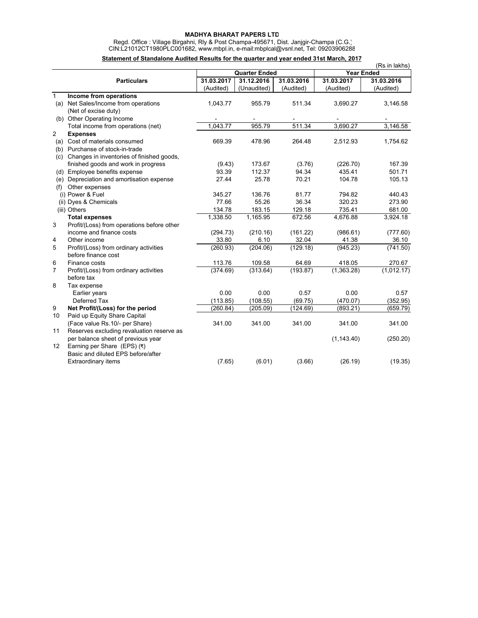## **MADHYA BHARAT PAPERS LTD**

 Regd. Office : Village Birgahni, Rly & Post Champa-495671, Dist. Janjgir-Champa (C.G.) CIN:L21012CT1980PLC001682, www.mbpl.in, e-mail:mbplcal@vsnl.net, Tel: 09203906288

## **Statement of Standalone Audited Results for the quarter and year ended 31st March, 2017**

|                 |                                               |            |                      |            |                   | (Rs in lakhs) |
|-----------------|-----------------------------------------------|------------|----------------------|------------|-------------------|---------------|
|                 |                                               |            | <b>Quarter Ended</b> |            | <b>Year Ended</b> |               |
|                 | <b>Particulars</b>                            | 31.03.2017 | 31.12.2016           | 31.03.2016 | 31.03.2017        | 31.03.2016    |
|                 |                                               | (Audited)  | (Unaudited)          | (Audited)  | (Audited)         | (Audited)     |
| $\mathbf{1}$    | Income from operations                        |            |                      |            |                   |               |
|                 | (a) Net Sales/Income from operations          | 1,043.77   | 955.79               | 511.34     | 3,690.27          | 3,146.58      |
|                 | (Net of excise duty)                          |            |                      |            |                   |               |
|                 | (b) Other Operating Income                    |            |                      |            |                   |               |
|                 | Total income from operations (net)            | 1,043.77   | 955.79               | 511.34     | 3,690.27          | 3,146.58      |
| $\overline{2}$  | <b>Expenses</b>                               |            |                      |            |                   |               |
|                 | (a) Cost of materials consumed                | 669.39     | 478.96               | 264.48     | 2,512.93          | 1,754.62      |
|                 | (b) Purchanse of stock-in-trade               |            |                      |            |                   |               |
|                 | (c) Changes in inventories of finished goods, |            |                      |            |                   |               |
|                 | finished goods and work in progress           | (9.43)     | 173.67               | (3.76)     | (226.70)          | 167.39        |
|                 | (d) Employee benefits expense                 | 93.39      | 112.37               | 94.34      | 435.41            | 501.71        |
| (e)             | Depreciation and amortisation expense         | 27.44      | 25.78                | 70.21      | 104.78            | 105.13        |
| (f)             | Other expenses                                |            |                      |            |                   |               |
|                 | (i) Power & Fuel                              | 345.27     | 136.76               | 81.77      | 794.82            | 440.43        |
|                 | (ii) Dyes & Chemicals                         | 77.66      | 55.26                | 36.34      | 320.23            | 273.90        |
|                 | (iii) Others                                  | 134.78     | 183.15               | 129.18     | 735.41            | 681.00        |
|                 | <b>Total expenses</b>                         | 1,338.50   | 1,165.95             | 672.56     | 4,676.88          | 3,924.18      |
| 3               | Profit/(Loss) from operations before other    |            |                      |            |                   |               |
|                 | income and finance costs                      | (294.73)   | (210.16)             | (161.22)   | (986.61)          | (777.60)      |
| 4               | Other income                                  | 33.80      | 6.10                 | 32.04      | 41.38             | 36.10         |
| 5               | Profit/(Loss) from ordinary activities        | (260.93)   | (204.06)             | (129.18)   | (945.23)          | (741.50)      |
|                 | before finance cost                           |            |                      |            |                   |               |
| 6               | Finance costs                                 | 113.76     | 109.58               | 64.69      | 418.05            | 270.67        |
| $\overline{7}$  | Profit/(Loss) from ordinary activities        | (374.69)   | (313.64)             | (193.87)   | (1,363.28)        | (1,012.17)    |
|                 | before tax                                    |            |                      |            |                   |               |
| 8               | Tax expense                                   |            |                      |            |                   |               |
|                 | Earlier years                                 | 0.00       | 0.00                 | 0.57       | 0.00              | 0.57          |
|                 | Deferred Tax                                  | (113.85)   | (108.55)             | (69.75)    | (470.07)          | (352.95)      |
| 9               | Net Profit/(Loss) for the period              | (260.84)   | (205.09)             | (124.69)   | (893.21)          | (659.79)      |
| 10              | Paid up Equity Share Capital                  |            |                      |            |                   |               |
|                 | (Face value Rs.10/- per Share)                | 341.00     | 341.00               | 341.00     | 341.00            | 341.00        |
| 11              | Reserves excluding revaluation reserve as     |            |                      |            |                   |               |
|                 | per balance sheet of previous year            |            |                      |            | (1, 143.40)       | (250.20)      |
| 12 <sup>°</sup> | Earning per Share (EPS) (₹)                   |            |                      |            |                   |               |
|                 | Basic and diluted EPS before/after            |            |                      |            |                   |               |
|                 | <b>Extraordinary items</b>                    | (7.65)     | (6.01)               | (3.66)     | (26.19)           | (19.35)       |